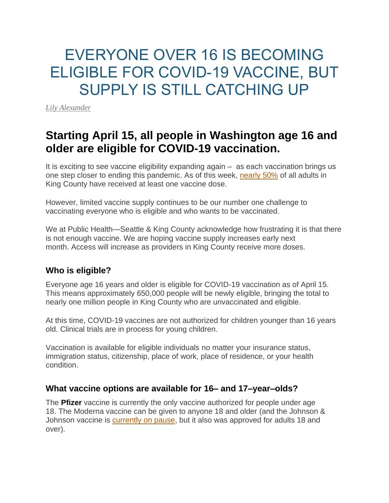# EVERYONE OVER 16 IS BECOMING ELIGIBLE FOR COVID-19 VACCINE, BUT SUPPLY IS STILL CATCHING UP

*[Lily Alexander](https://publichealthinsider.com/author/lilyakc/)*

## **Starting April 15, all people in Washington age 16 and older are eligible for COVID-19 vaccination.**

It is exciting to see vaccine eligibility expanding again – as each vaccination brings us one step closer to ending this pandemic. As of this week, [nearly 50%](https://www.kingcounty.gov/depts/health/covid-19/data/vaccination.aspx) of all adults in King County have received at least one vaccine dose.

However, limited vaccine supply continues to be our number one challenge to vaccinating everyone who is eligible and who wants to be vaccinated.

We at Public Health—Seattle & King County acknowledge how frustrating it is that there is not enough vaccine. We are hoping vaccine supply increases early next month. Access will increase as providers in King County receive more doses.

### **Who is eligible?**

Everyone age 16 years and older is eligible for COVID-19 vaccination as of April 15. This means approximately 650,000 people will be newly eligible, bringing the total to nearly one million people in King County who are unvaccinated and eligible.

At this time, COVID-19 vaccines are not authorized for children younger than 16 years old. Clinical trials are in process for young children.

Vaccination is available for eligible individuals no matter your insurance status, immigration status, citizenship, place of work, place of residence, or your health condition.

### **What vaccine options are available for 16– and 17–year–olds?**

The **Pfizer** vaccine is currently the only vaccine authorized for people under age 18. The Moderna vaccine can be given to anyone 18 and older (and the Johnson & Johnson vaccine is [currently on pause,](https://publichealthinsider.com/2021/04/13/pausing-use-of-johnson-johnson-covid-19-vaccine/) but it also was approved for adults 18 and over).